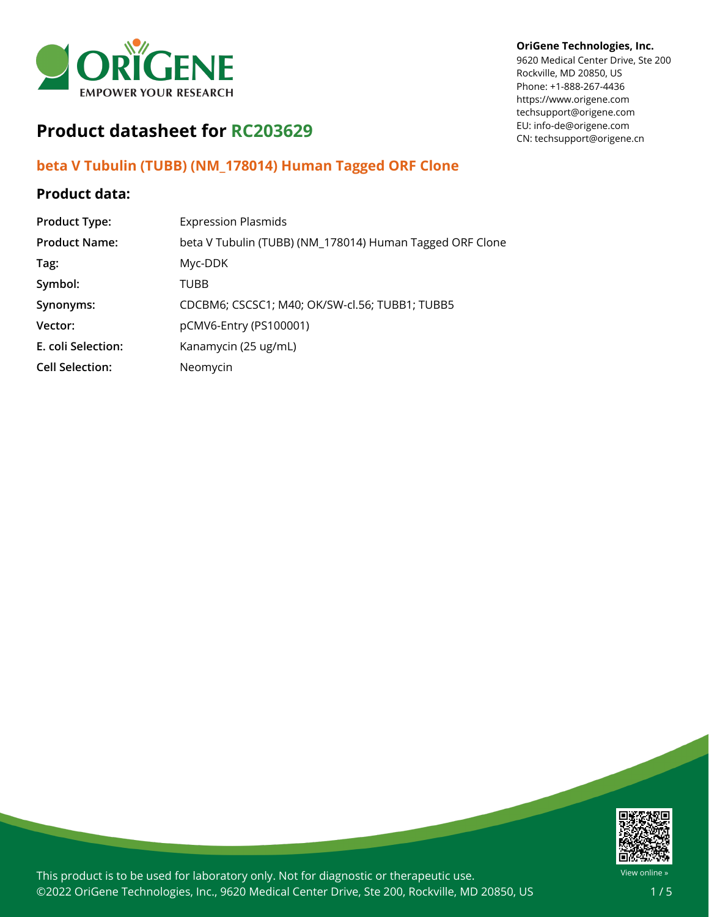

#### **OriGene Technologies, Inc.**

9620 Medical Center Drive, Ste 200 Rockville, MD 20850, US Phone: +1-888-267-4436 https://www.origene.com techsupport@origene.com EU: info-de@origene.com CN: techsupport@origene.cn

# **Product datasheet for RC203629**

## **beta V Tubulin (TUBB) (NM\_178014) Human Tagged ORF Clone**

# **Product data:**

| <b>Product Type:</b>   | <b>Expression Plasmids</b>                               |
|------------------------|----------------------------------------------------------|
| <b>Product Name:</b>   | beta V Tubulin (TUBB) (NM_178014) Human Tagged ORF Clone |
| Tag:                   | Myc-DDK                                                  |
| Symbol:                | <b>TUBB</b>                                              |
| Synonyms:              | CDCBM6; CSCSC1; M40; OK/SW-cl.56; TUBB1; TUBB5           |
| Vector:                | pCMV6-Entry (PS100001)                                   |
| E. coli Selection:     | Kanamycin (25 ug/mL)                                     |
| <b>Cell Selection:</b> | Neomycin                                                 |



This product is to be used for laboratory only. Not for diagnostic or therapeutic use. ©2022 OriGene Technologies, Inc., 9620 Medical Center Drive, Ste 200, Rockville, MD 20850, US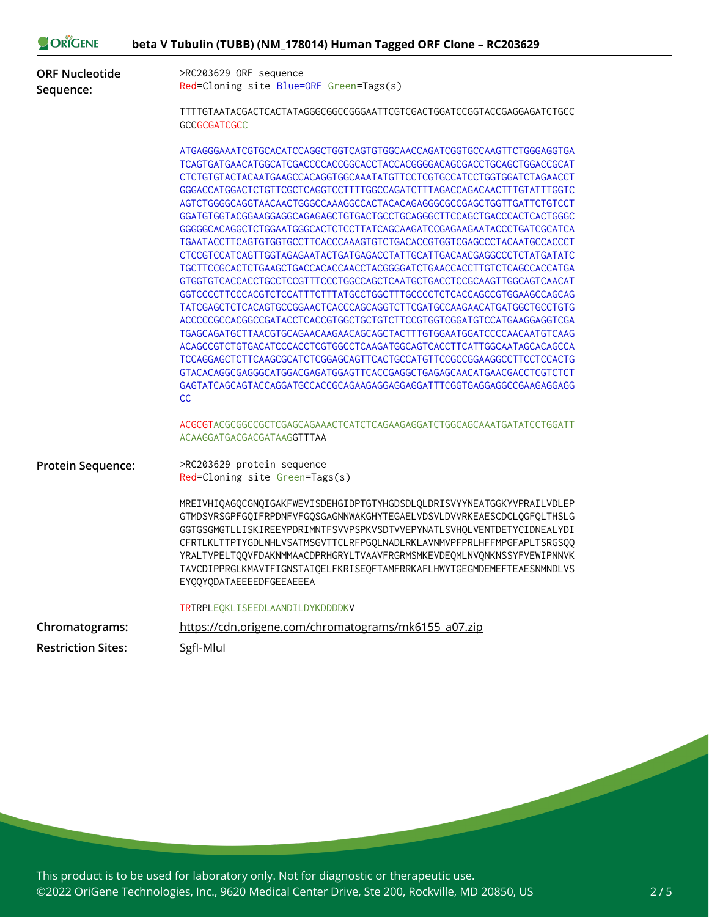| ORIGENE                                     | beta V Tubulin (TUBB) (NM_178014) Human Tagged ORF Clone - RC203629                                                                                                                                                                                                                                                                                                                                                                                                                                                                                                                                                                                                                                                                                                                                                                                                                                                                                                                                                                                                                                                                                                                                                                                                                                                                                                                                                                                               |
|---------------------------------------------|-------------------------------------------------------------------------------------------------------------------------------------------------------------------------------------------------------------------------------------------------------------------------------------------------------------------------------------------------------------------------------------------------------------------------------------------------------------------------------------------------------------------------------------------------------------------------------------------------------------------------------------------------------------------------------------------------------------------------------------------------------------------------------------------------------------------------------------------------------------------------------------------------------------------------------------------------------------------------------------------------------------------------------------------------------------------------------------------------------------------------------------------------------------------------------------------------------------------------------------------------------------------------------------------------------------------------------------------------------------------------------------------------------------------------------------------------------------------|
| <b>ORF Nucleotide</b><br>Sequence:          | >RC203629 ORF sequence<br>Red=Cloning site Blue=ORF Green=Tags(s)                                                                                                                                                                                                                                                                                                                                                                                                                                                                                                                                                                                                                                                                                                                                                                                                                                                                                                                                                                                                                                                                                                                                                                                                                                                                                                                                                                                                 |
|                                             | TTTTGTAATACGACTCACTATAGGGCGGCCGGGAATTCGTCGACTGGATCCGGTACCGAGGAGATCTGCC<br>GCCGCGATCGCC                                                                                                                                                                                                                                                                                                                                                                                                                                                                                                                                                                                                                                                                                                                                                                                                                                                                                                                                                                                                                                                                                                                                                                                                                                                                                                                                                                            |
|                                             | ATGAGGGAAATCGTGCACATCCAGGCTGGTCAGTGTGGCAACCAGATCGGTGCCAAGTTCTGGGAGGTGA<br>TCAGTGATGAACATGGCATCGACCCCACCGGCACCTACCACGGGGACAGCGACCTGCAGCTGGACCGCAT<br>CTCTGTGTACTACAATGAAGCCACAGGTGGCAAATATGTTCCTCGTGCCATCCTGGTGGATCTAGAACCT<br>GGGACCATGGACTCTGTTCGCTCAGGTCCTTTTGGCCAGATCTTTAGACCAGACAACTTTGTATTTGGTC<br>AGTCTGGGGCAGGTAACAACTGGGCCAAAGGCCACTACACAGAGGGCGCCGAGCTGGTTGATTCTGTCCT<br>GGGGGCACAGGCTCTGGAATGGGCACTCTCCTTATCAGCAAGATCCGAGAAGAATACCCTGATCGCATCA<br>TGAATACCTTCAGTGTGGTGCCTTCACCCAAAGTGTCTGACACCGTGGTCGAGCCCTACAATGCCACCCT<br>CTCCGTCCATCAGTTGGTAGAGAATACTGATGAGACCTATTGCATTGACAACGAGGCCCTCTATGATATC<br>TGCTTCCGCACTCTGAAGCTGACCACACCAACCTACGGGGATCTGAACCACCTTGTCTCAGCCACCATGA<br>GTGGTGTCACCACCTGCCTCCGTTTCCCTGGCCAGCTCAATGCTGACCTCCGCAAGTTGGCAGTCAACAT<br>GGTCCCCTTCCCACGTCTCCATTTCTTTATGCCTGGCTTTGCCCCTCTCACCAGCCGTGGAAGCCAGCAG<br>TATCGAGCTCTCACAGTGCCGGAACTCACCCAGCAGGTCTTCGATGCCAAGAACATGATGGCTGCCTGTG<br>ACCCCCCCCCACGGCCGATACCTCACCGTGGCTGCTGTCTTCCGTGGTCGGATGTCCATGAAGGAGGTCGA<br>TGAGCAGATGCTTAACGTGCAGAACAAGAACAGCAGCTACTTTGTGGAATGGATCCCCAACAATGTCAAG<br>ACAGCCGTCTGTGACATCCCACCTCGTGGCCTCAAGATGGCAGTCACCTTCATTGGCAATAGCACAGCCA<br>TCCAGGAGCTCTTCAAGCGCATCTCGGAGCAGTTCACTGCCATGTTCCGCCGGAAGGCCTTCCTCCACTG<br>GTACACAGGCGAGGGCATGGACGAGATGGAGTTCACCGAGGCTGAGAGCAACATGAACGACCTCGTCTCT<br>GAGTATCAGCAGTACCAGGATGCCACCGCAGAAGAGGAGGAGGATTTCGGTGAGGAGGCCGAAGAGGAGG<br>CC<br>ACGCGTACGCGGCCGCTCGAGCAGAAACTCATCTCAGAAGAGGATCTGGCAGCAAATGATATCCTGGATT |
|                                             | ACAAGGATGACGACGATAAGGTTTAA                                                                                                                                                                                                                                                                                                                                                                                                                                                                                                                                                                                                                                                                                                                                                                                                                                                                                                                                                                                                                                                                                                                                                                                                                                                                                                                                                                                                                                        |
| <b>Protein Sequence:</b>                    | >RC203629 protein sequence<br>Red=Cloning site Green=Tags(s)                                                                                                                                                                                                                                                                                                                                                                                                                                                                                                                                                                                                                                                                                                                                                                                                                                                                                                                                                                                                                                                                                                                                                                                                                                                                                                                                                                                                      |
|                                             | MREIVHIQAGQCGNQIGAKFWEVISDEHGIDPTGTYHGDSDLQLDRISVYYNEATGGKYVPRAILVDLEP<br>GTMDSVRSGPFGQIFRPDNFVFGQSGAGNNWAKGHYTEGAELVDSVLDVVRKEAESCDCLQGFQLTHSLG<br>GGTGSGMGTLLISKIREEYPDRIMNTFSVVPSPKVSDTVVEPYNATLSVHQLVENTDETYCIDNEALYDI<br>CFRTLKLTTPTYGDLNHLVSATMSGVTTCLRFPGQLNADLRKLAVNMVPFPRLHFFMPGFAPLTSRGSQQ<br>YRALTVPELTQQVFDAKNMMAACDPRHGRYLTVAAVFRGRMSMKEVDEQMLNVQNKNSSYFVEWIPNNVK<br>TAVCDIPPRGLKMAVTFIGNSTAIQELFKRISEQFTAMFRRKAFLHWYTGEGMDEMEFTEAESNMNDLVS<br>EYQQYQDATAEEEEDFGEEAEEEA                                                                                                                                                                                                                                                                                                                                                                                                                                                                                                                                                                                                                                                                                                                                                                                                                                                                                                                                                                              |
|                                             | TRTRPLEQKLISEEDLAANDILDYKDDDDKV                                                                                                                                                                                                                                                                                                                                                                                                                                                                                                                                                                                                                                                                                                                                                                                                                                                                                                                                                                                                                                                                                                                                                                                                                                                                                                                                                                                                                                   |
| Chromatograms:<br><b>Restriction Sites:</b> | https://cdn.origene.com/chromatograms/mk6155 a07.zip<br>SgfI-Mlul                                                                                                                                                                                                                                                                                                                                                                                                                                                                                                                                                                                                                                                                                                                                                                                                                                                                                                                                                                                                                                                                                                                                                                                                                                                                                                                                                                                                 |

This product is to be used for laboratory only. Not for diagnostic or therapeutic use. ©2022 OriGene Technologies, Inc., 9620 Medical Center Drive, Ste 200, Rockville, MD 20850, US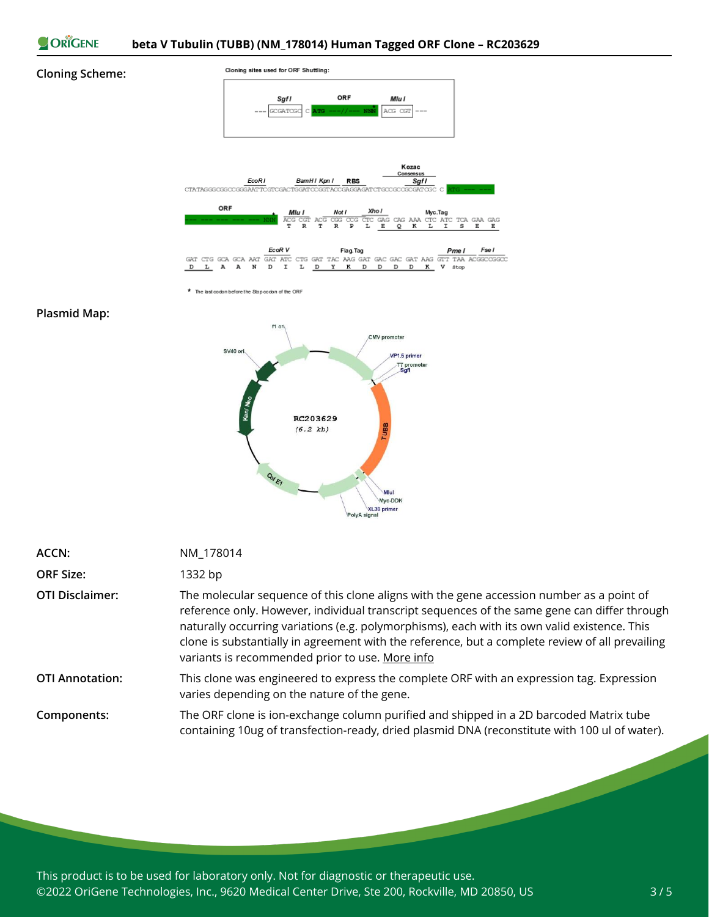

### **Cloning Scheme:**



\* The last codon before the Stop codon of the ORF

#### **Plasmid Map:**



| <b>ACCN:</b>           | NM_178014                                                                                                                                                                                                                                                                                                                                                                                                                                      |
|------------------------|------------------------------------------------------------------------------------------------------------------------------------------------------------------------------------------------------------------------------------------------------------------------------------------------------------------------------------------------------------------------------------------------------------------------------------------------|
| <b>ORF Size:</b>       | 1332 bp                                                                                                                                                                                                                                                                                                                                                                                                                                        |
| <b>OTI Disclaimer:</b> | The molecular sequence of this clone aligns with the gene accession number as a point of<br>reference only. However, individual transcript sequences of the same gene can differ through<br>naturally occurring variations (e.g. polymorphisms), each with its own valid existence. This<br>clone is substantially in agreement with the reference, but a complete review of all prevailing<br>variants is recommended prior to use. More info |
| <b>OTI Annotation:</b> | This clone was engineered to express the complete ORF with an expression tag. Expression<br>varies depending on the nature of the gene.                                                                                                                                                                                                                                                                                                        |
| Components:            | The ORF clone is ion-exchange column purified and shipped in a 2D barcoded Matrix tube<br>containing 10ug of transfection-ready, dried plasmid DNA (reconstitute with 100 ul of water).                                                                                                                                                                                                                                                        |

This product is to be used for laboratory only. Not for diagnostic or therapeutic use. ©2022 OriGene Technologies, Inc., 9620 Medical Center Drive, Ste 200, Rockville, MD 20850, US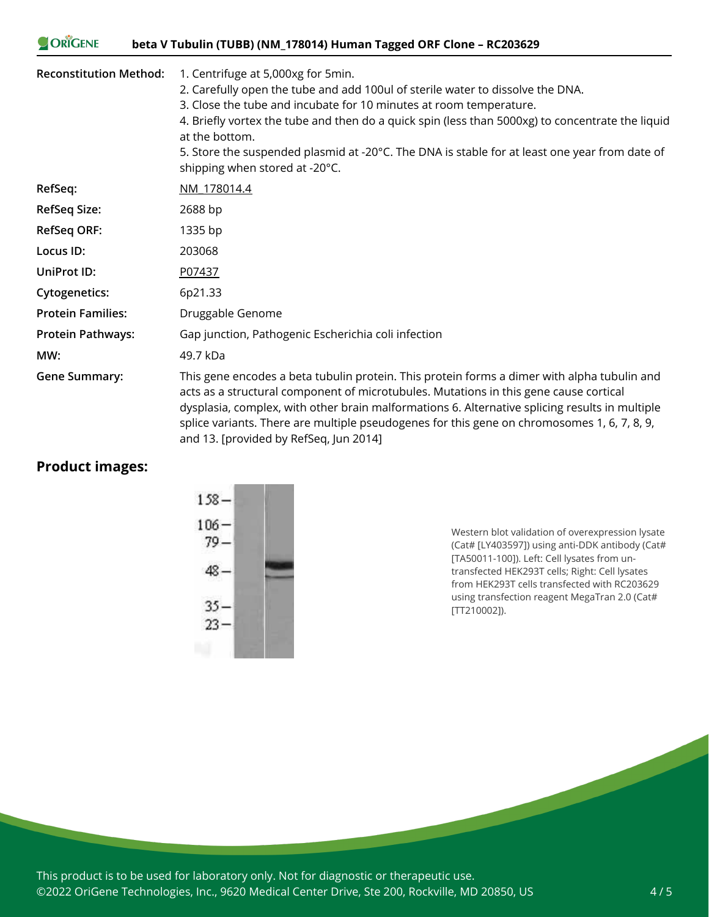#### ORIGENE **beta V Tubulin (TUBB) (NM\_178014) Human Tagged ORF Clone – RC203629**

| <b>Reconstitution Method:</b> | 1. Centrifuge at 5,000xg for 5min.<br>2. Carefully open the tube and add 100ul of sterile water to dissolve the DNA.<br>3. Close the tube and incubate for 10 minutes at room temperature.<br>4. Briefly vortex the tube and then do a quick spin (less than 5000xg) to concentrate the liquid<br>at the bottom.<br>5. Store the suspended plasmid at -20°C. The DNA is stable for at least one year from date of<br>shipping when stored at -20°C. |
|-------------------------------|-----------------------------------------------------------------------------------------------------------------------------------------------------------------------------------------------------------------------------------------------------------------------------------------------------------------------------------------------------------------------------------------------------------------------------------------------------|
| RefSeq:                       | NM 178014.4                                                                                                                                                                                                                                                                                                                                                                                                                                         |
| <b>RefSeq Size:</b>           | 2688 bp                                                                                                                                                                                                                                                                                                                                                                                                                                             |
| <b>RefSeq ORF:</b>            | 1335 bp                                                                                                                                                                                                                                                                                                                                                                                                                                             |
| Locus ID:                     | 203068                                                                                                                                                                                                                                                                                                                                                                                                                                              |
| UniProt ID:                   | P07437                                                                                                                                                                                                                                                                                                                                                                                                                                              |
| <b>Cytogenetics:</b>          | 6p21.33                                                                                                                                                                                                                                                                                                                                                                                                                                             |
| <b>Protein Families:</b>      | Druggable Genome                                                                                                                                                                                                                                                                                                                                                                                                                                    |
| <b>Protein Pathways:</b>      | Gap junction, Pathogenic Escherichia coli infection                                                                                                                                                                                                                                                                                                                                                                                                 |
| MW:                           | 49.7 kDa                                                                                                                                                                                                                                                                                                                                                                                                                                            |
| <b>Gene Summary:</b>          | This gene encodes a beta tubulin protein. This protein forms a dimer with alpha tubulin and<br>acts as a structural component of microtubules. Mutations in this gene cause cortical<br>dysplasia, complex, with other brain malformations 6. Alternative splicing results in multiple<br>splice variants. There are multiple pseudogenes for this gene on chromosomes 1, 6, 7, 8, 9,<br>and 13. [provided by RefSeq, Jun 2014]                     |

# **Product images:**



Western blot validation of overexpression lysate (Cat# [LY403597]) using anti-DDK antibody (Cat# [TA50011-100]). Left: Cell lysates from untransfected HEK293T cells; Right: Cell lysates from HEK293T cells transfected with RC203629 using transfection reagent MegaTran 2.0 (Cat# [TT210002]).

This product is to be used for laboratory only. Not for diagnostic or therapeutic use. ©2022 OriGene Technologies, Inc., 9620 Medical Center Drive, Ste 200, Rockville, MD 20850, US